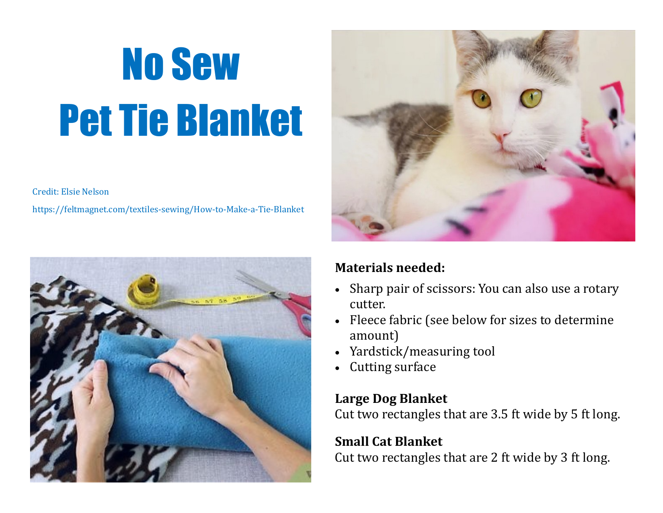# No Sew Pet Tie Blanket

Credit: Elsie Nelson

https://feltmagnet.com/textiles-sewing/How-to-Make-a-Tie-Blanket





### **Materials needed:**

- Sharp pair of scissors: You can also use a rotary cutter.
- Fleece fabric (see below for sizes to determine amount)
- Yardstick/measuring tool
- Cutting surface

### **Large Dog Blanket**

Cut two rectangles that are 3.5 ft wide by 5 ft long.

#### **Small Cat Blanket**

Cut two rectangles that are 2 ft wide by 3 ft long.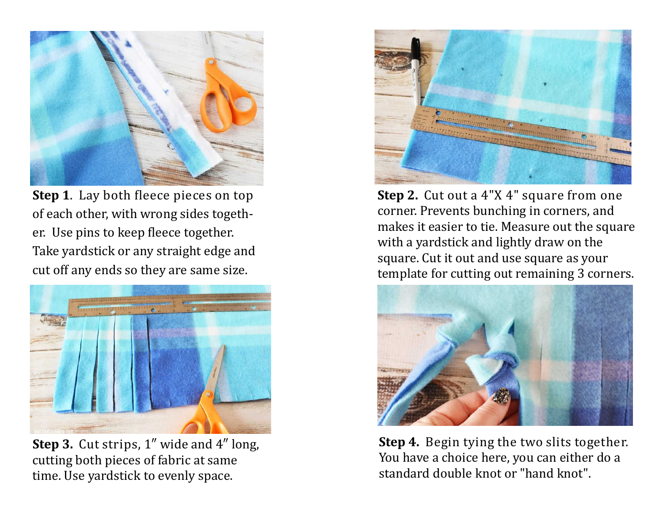

**Step 1**. Lay both fleece pieces on top of each other, with wrong sides together. Use pins to keep fleece together. Take yardstick or any straight edge and cut off any ends so they are same size.



**Step 3.** Cut strips, 1″ wide and 4″ long, cutting both pieces of fabric at same time. Use yardstick to evenly space.



**Step 2.** Cut out a 4"X 4" square from one corner. Prevents bunching in corners, and makes it easier to tie. Measure out the square with a yardstick and lightly draw on the square. Cut it out and use square as your template for cutting out remaining 3 corners.



**Step 4.** Begin tying the two slits together. You have a choice here, you can either do a standard double knot or "hand knot".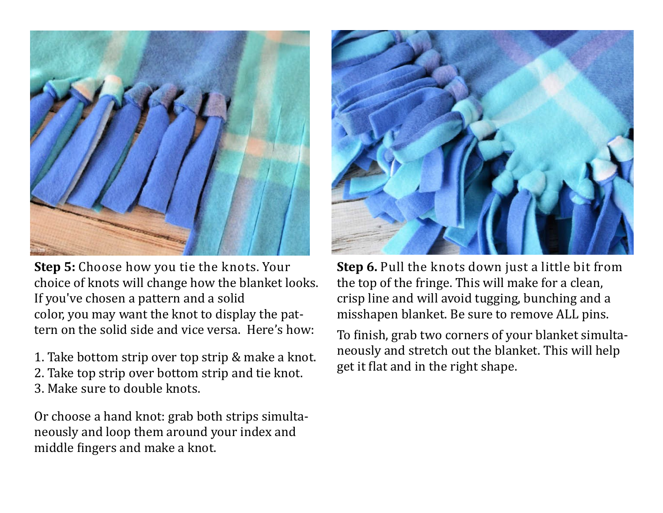

**Step 5:** Choose how you tie the knots. Your choice of knots will change how the blanket looks. If you've chosen a pattern and a solid color, you may want the knot to display the pattern on the solid side and vice versa. Here's how:

1. Take bottom strip over top strip & make a knot. 2. Take top strip over bottom strip and tie knot. 3. Make sure to double knots.

Or choose a hand knot: grab both strips simultaneously and loop them around your index and middle fingers and make a knot.



**Step 6.** Pull the knots down just a little bit from the top of the fringe. This will make for a clean, crisp line and will avoid tugging, bunching and a misshapen blanket. Be sure to remove ALL pins.

To finish, grab two corners of your blanket simultaneously and stretch out the blanket. This will help get it flat and in the right shape.